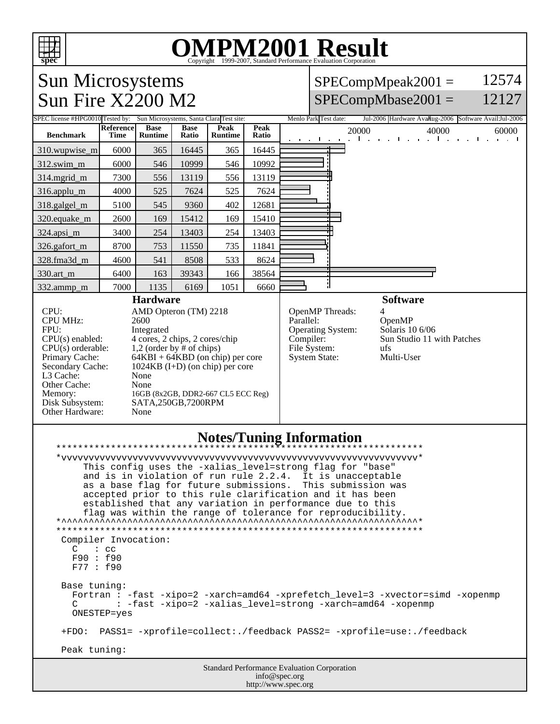

## OMPM2001 Result to Evaluation Corporation

12574

12127

Sun Microsystems Sun Fire X2200 M2  $SPECompMpeak2001 =$  $SPECompMbase2001 =$ SPEC license #HPG0010 Tested by: Sun Microsystems, Santa Clara Test site: Menlo Park Test date: Jul-2006 Hardware Availug-2006 Software Avail: Jul-2006 **Benchmark Reference Time Base Runtime Base Ratio Peak Runtime Peak Ratio** 20000 40000 **60000** 60000 310.wupwise\_m 6000 365 16445 365 16445 312.swim\_m 6000 546 10999 546 10992 314.mgrid\_m | 7300 | 556 | 13119 | 556 | 13119 316.applu\_m 4000 525 7624 525 7624 318.galgel\_m | 5100 | 545 | 9360 | 402 | 12681 320.equake\_m 2600 169 15412 169 15410 324.apsi\_m 3400 254 13403 254 13403 326.gafort\_m | 8700 | 753 | 11550 | 735 | 11841 328.fma3d\_m | 4600 | 541 | 8508 | 533 | 8624 330.art\_m 6400 163 39343 166 38564 332.ammp\_m | 7000 | 1135 | 6169 | 1051 | 6660 **Hardware** CPU: AMD Opteron (TM) 2218 CPU MHz: 2600 FPU: Integrated  $CPU(s)$  enabled:  $4$  cores, 2 chips, 2 cores/chip<br>CPU(s) orderable:  $1,2$  (order by # of chips) CPU(s) orderable:  $1,2$  (order by # of chips)<br>Primary Cache:  $64KBI + 64KBD$  (on chi Primary Cache: 64KBI + 64KBD (on chip) per core<br>Secondary Cache: 1024KB (I+D) (on chip) per core  $1024KB$  (I+D) (on chip) per core L3 Cache: None<br>
Other Cache: None Other Cache: Memory: 16GB (8x2GB, DDR2-667 CL5 ECC Reg)<br>Disk Subsystem: SATA,250GB,7200RPM Disk Subsystem: SATA,250GB,7200RPM Other Hardware: None **Software** OpenMP Threads:<br>Parallel: OpenMP<br>Solaris 10 6/06 Operating System: Compiler: Sun Studio 11 with Patches File System: ufs<br>System State: Multi-User System State: **Notes/Tuning Information** \*\*\*\*\*\*\*\*\*\*\*\*\*\*\*\*\*\*\*\*\*\*\*\*\*\*\*\*\*\*\*\*\*\*\*\*\*\*\*\*\*\*\*\*\*\*\*\*\*\*\*\*\*\*\*\*\*\*\*\*\*\*\*\*\*\*\* \*vvvvvvvvvvvvvvvvvvvvvvvvvvvvvvvvvvvvvvvvvvvvvvvvvvvvvvvvvvvvvvvvv\* This config uses the -xalias\_level=strong flag for "base" and is in violation of run rule 2.2.4. It is unacceptable as a base flag for future submissions. This submission was accepted prior to this rule clarification and it has been established that any variation in performance due to this flag was within the range of tolerance for reproducibility.  $*$ \*\*\*\*\*\*\*\*\*\*\*\*\*\*\*\*\*\*\*\*\*\*\*\*\*\*\*\*\*\*\*\*\*\*\*\*\*\*\*\*\*\*\*\*\*\*\*\*\*\*\*\*\*\*\*\*\*\*\*\*\*\*\*\*\*\*\* Compiler Invocation: C : cc F90 : f90 F77 : f90 Base tuning: Fortran : -fast -xipo=2 -xarch=amd64 -xprefetch\_level=3 -xvector=simd -xopenmp<br>C : -fast -xipo=2 -xalias level=strong -xarch=amd64 -xopenmp : -fast -xipo=2 -xalias\_level=strong -xarch=amd64 -xopenmp ONESTEP=yes +FDO: PASS1= -xprofile=collect:./feedback PASS2= -xprofile=use:./feedback Peak tuning:

> Standard Performance Evaluation Corporation info@spec.org http://www.spec.org